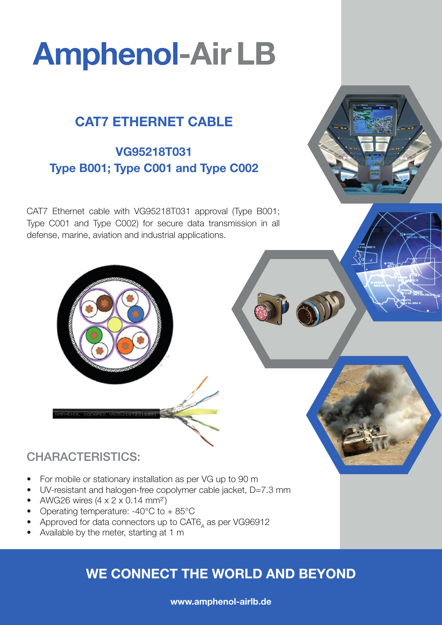# **Amphenol-Air LB**

# CAT7 ETHERNET CABLE

## VG95218T031 Type B001; Type C001 and Type C002

CAT7 Ethernet cable with VG95218T031 approval (Type B001; Type C001 and Type C002) for secure data transmission in all defense, marine, aviation and industrial applications.



## CHARACTERISTICS:

- For mobile or stationary installation as per VG up to 90 m
- UV-resistant and halogen-free copolymer cable jacket, D=7.3 mm
- AWG26 wires  $(4 \times 2 \times 0.14$  mm<sup>2</sup>)
- Operating temperature:  $-40^{\circ}$ C to  $+85^{\circ}$ C
- Approved for data connectors up to CAT6, as per VG96912
- Available by the meter, starting at 1 m

# WE CONNECT THE WORLD AND BEYOND

### www.amphenol-airlb.de